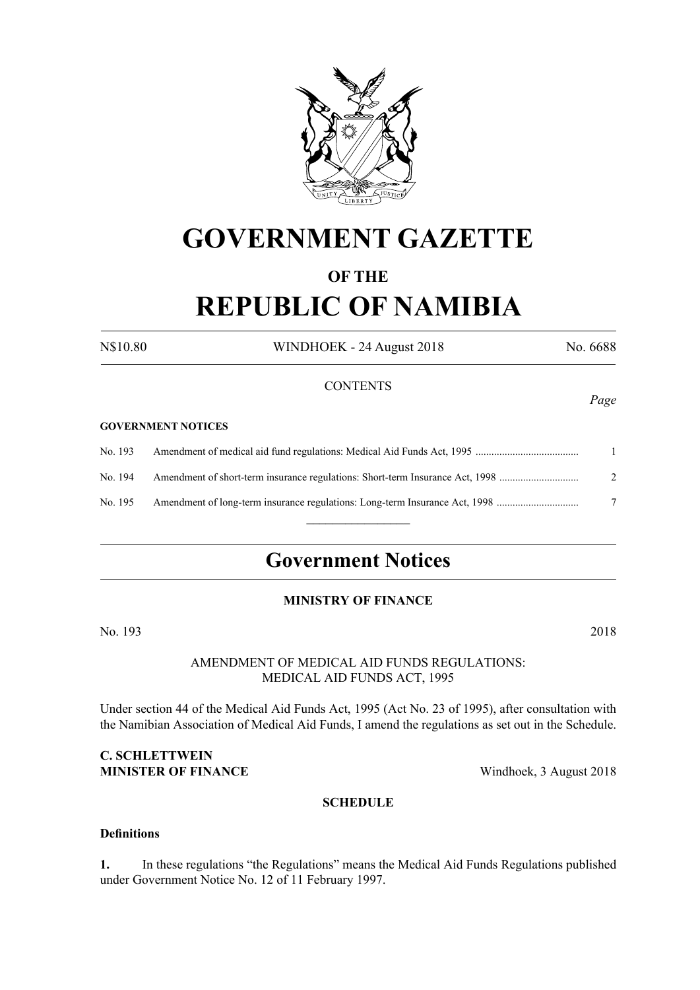

# **GOVERNMENT GAZETTE**

## **OF THE**

# **REPUBLIC OF NAMIBIA**

N\$10.80 WINDHOEK - 24 August 2018 No. 6688

## **CONTENTS**

#### **GOVERNMENT NOTICES**

No. 193 Amendment of medical aid fund regulations: Medical Aid Funds Act, 1995 ....................................... 1 No. 194 Amendment of short-term insurance regulations: Short-term Insurance Act, 1998 .............................. 2 No. 195 Amendment of long-term insurance regulations: Long-term Insurance Act, 1998 ............................... 7  $\frac{1}{2}$ 

# **Government Notices**

## **MINISTRY OF FINANCE**

No. 193 2018

## AMENDMENT OF MEDICAL AID FUNDS REGULATIONS: MEDICAL AID FUNDS ACT, 1995

Under section 44 of the Medical Aid Funds Act, 1995 (Act No. 23 of 1995), after consultation with the Namibian Association of Medical Aid Funds, I amend the regulations as set out in the Schedule.

## **C. SCHLETTWEIN MINISTER OF FINANCE** Windhoek, 3 August 2018

## **SCHEDULE**

## **Definitions**

**1.** In these regulations "the Regulations" means the Medical Aid Funds Regulations published under Government Notice No. 12 of 11 February 1997.

*Page*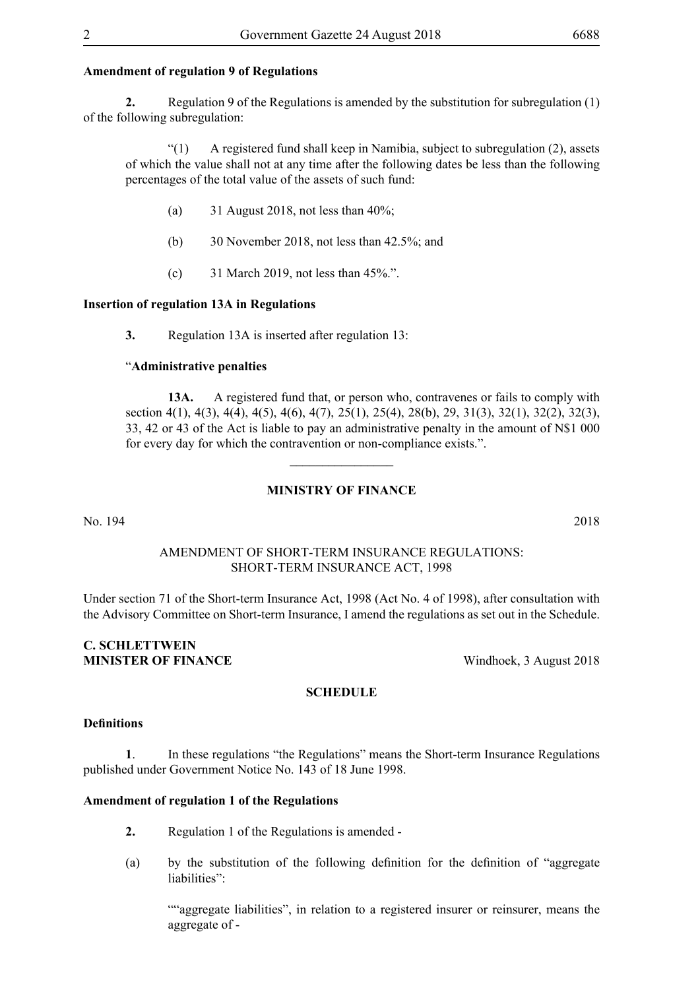## **Amendment of regulation 9 of Regulations**

**2.** Regulation 9 of the Regulations is amended by the substitution for subregulation (1) of the following subregulation:

"(1) A registered fund shall keep in Namibia, subject to subregulation (2), assets of which the value shall not at any time after the following dates be less than the following percentages of the total value of the assets of such fund:

- (a)  $31$  August 2018, not less than 40%;
- (b) 30 November 2018, not less than 42.5%; and
- (c) 31 March 2019, not less than 45%.".

## **Insertion of regulation 13A in Regulations**

**3.** Regulation 13A is inserted after regulation 13:

#### "**Administrative penalties**

**13A.** A registered fund that, or person who, contravenes or fails to comply with section 4(1), 4(3), 4(4), 4(5), 4(6), 4(7), 25(1), 25(4), 28(b), 29, 31(3), 32(1), 32(2), 32(3), 33, 42 or 43 of the Act is liable to pay an administrative penalty in the amount of N\$1 000 for every day for which the contravention or non-compliance exists.".

## **MINISTRY OF FINANCE**

 $\overline{\phantom{a}}$  , where  $\overline{\phantom{a}}$ 

No. 194 2018

## AMENDMENT OF SHORT-TERM INSURANCE REGULATIONS: SHORT-TERM INSURANCE ACT, 1998

Under section 71 of the Short-term Insurance Act, 1998 (Act No. 4 of 1998), after consultation with the Advisory Committee on Short-term Insurance, I amend the regulations as set out in the Schedule.

## **C. SCHLETTWEIN MINISTER OF FINANCE** Windhoek, 3 August 2018

# **SCHEDULE**

#### **Definitions**

**1**. In these regulations "the Regulations" means the Short-term Insurance Regulations published under Government Notice No. 143 of 18 June 1998.

#### **Amendment of regulation 1 of the Regulations**

- **2.** Regulation 1 of the Regulations is amended -
- (a) by the substitution of the following definition for the definition of "aggregate liabilities":

""aggregate liabilities", in relation to a registered insurer or reinsurer, means the aggregate of -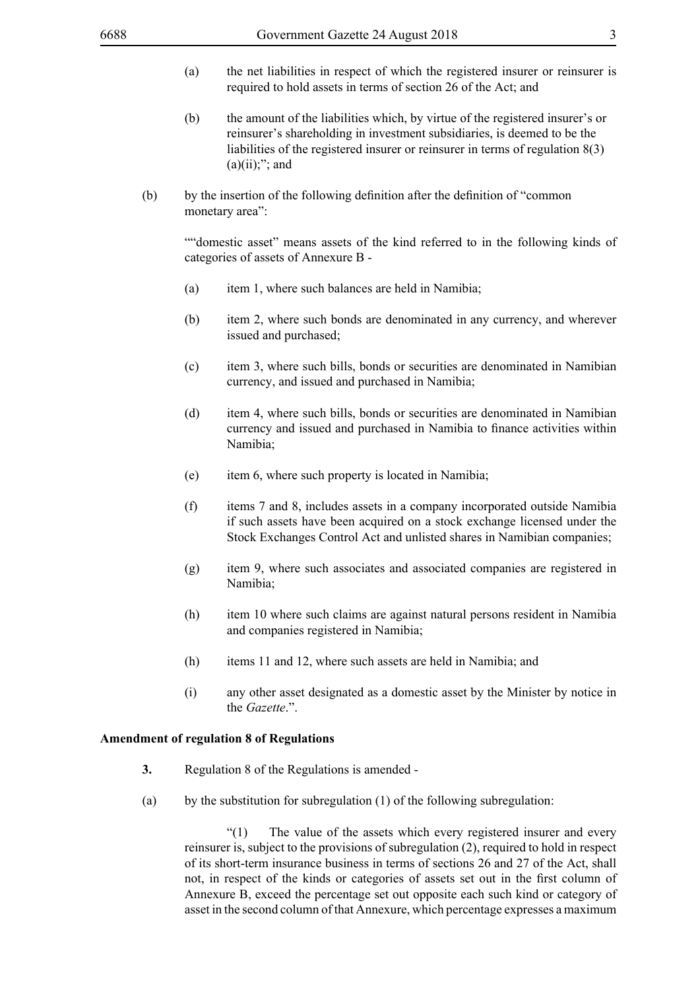- (a) the net liabilities in respect of which the registered insurer or reinsurer is required to hold assets in terms of section 26 of the Act; and
- (b) the amount of the liabilities which, by virtue of the registered insurer's or reinsurer's shareholding in investment subsidiaries, is deemed to be the liabilities of the registered insurer or reinsurer in terms of regulation 8(3)  $(a)(ii)$ ;"; and
- (b) by the insertion of the following definition after the definition of "common monetary area":

""domestic asset" means assets of the kind referred to in the following kinds of categories of assets of Annexure B -

- (a) item 1, where such balances are held in Namibia;
- (b) item 2, where such bonds are denominated in any currency, and wherever issued and purchased;
- (c) item 3, where such bills, bonds or securities are denominated in Namibian currency, and issued and purchased in Namibia;
- (d) item 4, where such bills, bonds or securities are denominated in Namibian currency and issued and purchased in Namibia to finance activities within Namibia;
- (e) item 6, where such property is located in Namibia;
- (f) items 7 and 8, includes assets in a company incorporated outside Namibia if such assets have been acquired on a stock exchange licensed under the Stock Exchanges Control Act and unlisted shares in Namibian companies;
- (g) item 9, where such associates and associated companies are registered in Namibia;
- (h) item 10 where such claims are against natural persons resident in Namibia and companies registered in Namibia;
- (h) items 11 and 12, where such assets are held in Namibia; and
- (i) any other asset designated as a domestic asset by the Minister by notice in the *Gazette*.".

## **Amendment of regulation 8 of Regulations**

- **3.** Regulation 8 of the Regulations is amended -
- (a) by the substitution for subregulation  $(1)$  of the following subregulation:

"(1) The value of the assets which every registered insurer and every reinsurer is, subject to the provisions of subregulation (2), required to hold in respect of its short-term insurance business in terms of sections 26 and 27 of the Act, shall not, in respect of the kinds or categories of assets set out in the first column of Annexure B, exceed the percentage set out opposite each such kind or category of asset in the second column of that Annexure, which percentage expresses a maximum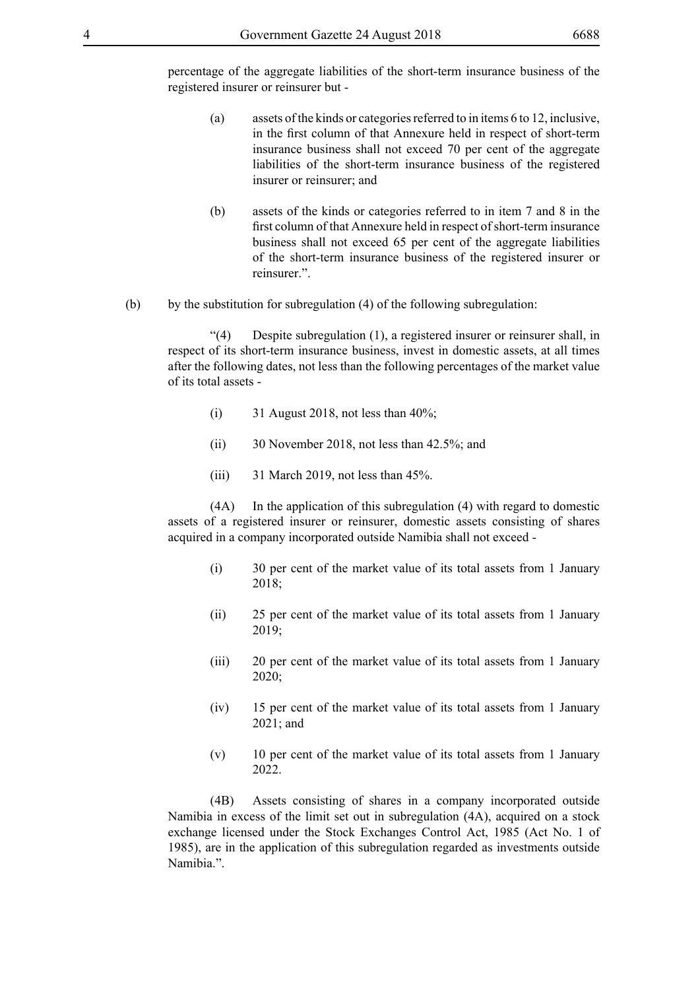percentage of the aggregate liabilities of the short-term insurance business of the registered insurer or reinsurer but -

- (a) assets of the kinds or categories referred to in items 6 to 12, inclusive, in the first column of that Annexure held in respect of short-term insurance business shall not exceed 70 per cent of the aggregate liabilities of the short-term insurance business of the registered insurer or reinsurer; and
- (b) assets of the kinds or categories referred to in item 7 and 8 in the first column of that Annexure held in respect of short-term insurance business shall not exceed 65 per cent of the aggregate liabilities of the short-term insurance business of the registered insurer or reinsurer.".
- (b) by the substitution for subregulation  $(4)$  of the following subregulation:

"(4) Despite subregulation (1), a registered insurer or reinsurer shall, in respect of its short-term insurance business, invest in domestic assets, at all times after the following dates, not less than the following percentages of the market value of its total assets -

- (i) 31 August 2018, not less than  $40\%$ ;
- (ii) 30 November 2018, not less than 42.5%; and
- (iii)  $31$  March 2019, not less than 45%.

(4A) In the application of this subregulation (4) with regard to domestic assets of a registered insurer or reinsurer, domestic assets consisting of shares acquired in a company incorporated outside Namibia shall not exceed -

- (i) 30 per cent of the market value of its total assets from 1 January 2018;
- (ii) 25 per cent of the market value of its total assets from 1 January 2019;
- (iii) 20 per cent of the market value of its total assets from 1 January 2020;
- (iv) 15 per cent of the market value of its total assets from 1 January 2021; and
- (v) 10 per cent of the market value of its total assets from 1 January 2022.

(4B) Assets consisting of shares in a company incorporated outside Namibia in excess of the limit set out in subregulation (4A), acquired on a stock exchange licensed under the Stock Exchanges Control Act, 1985 (Act No. 1 of 1985), are in the application of this subregulation regarded as investments outside Namihia<sup>"</sup>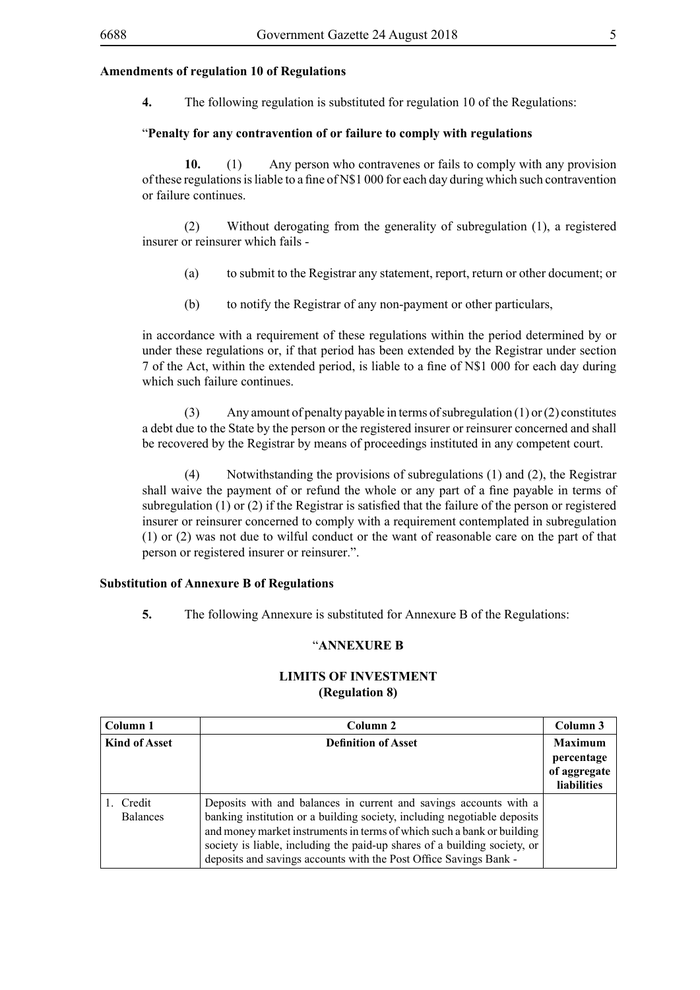### **Amendments of regulation 10 of Regulations**

**4.** The following regulation is substituted for regulation 10 of the Regulations:

#### "**Penalty for any contravention of or failure to comply with regulations**

**10.** (1) Any person who contravenes or fails to comply with any provision of these regulationsisliable to a fine of N\$1 000 for each day during which such contravention or failure continues.

(2) Without derogating from the generality of subregulation (1), a registered insurer or reinsurer which fails -

- (a) to submit to the Registrar any statement, report, return or other document; or
- (b) to notify the Registrar of any non-payment or other particulars,

in accordance with a requirement of these regulations within the period determined by or under these regulations or, if that period has been extended by the Registrar under section 7 of the Act, within the extended period, is liable to a fine of N\$1 000 for each day during which such failure continues.

(3) Any amount of penalty payable in terms of subregulation (1) or (2) constitutes a debt due to the State by the person or the registered insurer or reinsurer concerned and shall be recovered by the Registrar by means of proceedings instituted in any competent court.

(4) Notwithstanding the provisions of subregulations (1) and (2), the Registrar shall waive the payment of or refund the whole or any part of a fine payable in terms of subregulation (1) or (2) if the Registrar is satisfied that the failure of the person or registered insurer or reinsurer concerned to comply with a requirement contemplated in subregulation (1) or (2) was not due to wilful conduct or the want of reasonable care on the part of that person or registered insurer or reinsurer.".

#### **Substitution of Annexure B of Regulations**

**5.** The following Annexure is substituted for Annexure B of the Regulations:

## "**ANNEXURE B**

| Column 1                  | Column 2                                                                                                                                                                                                                                                                                                                                                                  | Column 3                                                    |
|---------------------------|---------------------------------------------------------------------------------------------------------------------------------------------------------------------------------------------------------------------------------------------------------------------------------------------------------------------------------------------------------------------------|-------------------------------------------------------------|
| <b>Kind of Asset</b>      | <b>Definition of Asset</b>                                                                                                                                                                                                                                                                                                                                                | <b>Maximum</b><br>percentage<br>of aggregate<br>liabilities |
| Credit<br><b>Balances</b> | Deposits with and balances in current and savings accounts with a<br>banking institution or a building society, including negotiable deposits<br>and money market instruments in terms of which such a bank or building<br>society is liable, including the paid-up shares of a building society, or<br>deposits and savings accounts with the Post Office Savings Bank - |                                                             |

## **LIMITS OF INVESTMENT (Regulation 8)**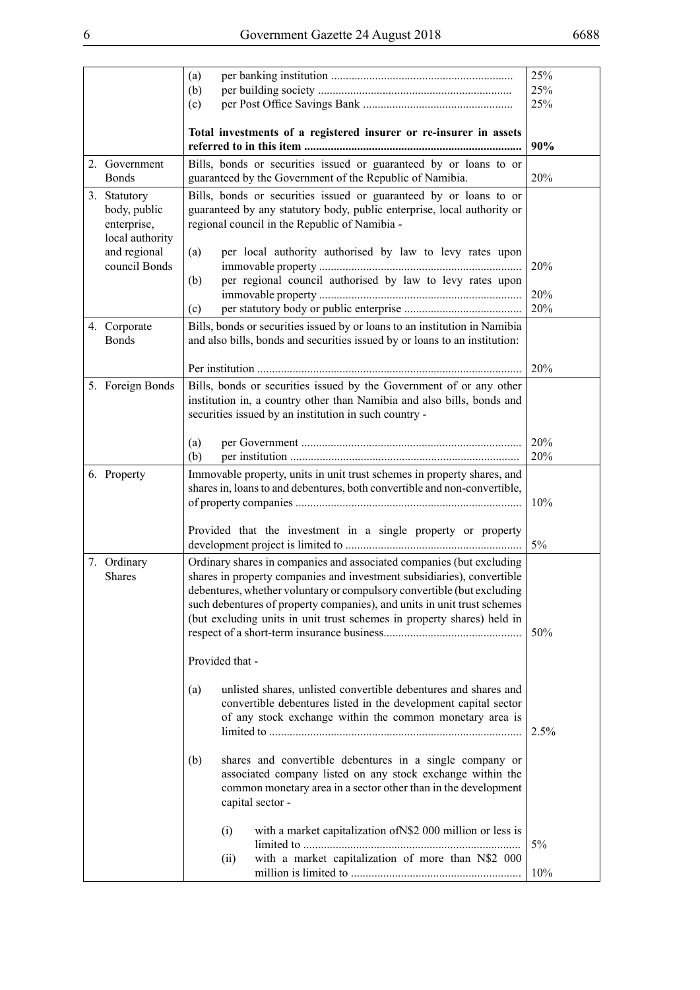|                                                | (a)<br>(b)                                                                                                                                                                                                                                                                                                                                                                    | 25%<br>25%<br>25% |
|------------------------------------------------|-------------------------------------------------------------------------------------------------------------------------------------------------------------------------------------------------------------------------------------------------------------------------------------------------------------------------------------------------------------------------------|-------------------|
|                                                | (c)                                                                                                                                                                                                                                                                                                                                                                           |                   |
|                                                | Total investments of a registered insurer or re-insurer in assets                                                                                                                                                                                                                                                                                                             | 90%               |
| 2. Government<br><b>Bonds</b>                  | Bills, bonds or securities issued or guaranteed by or loans to or<br>guaranteed by the Government of the Republic of Namibia.                                                                                                                                                                                                                                                 | 20%               |
| 3. Statutory                                   | Bills, bonds or securities issued or guaranteed by or loans to or                                                                                                                                                                                                                                                                                                             |                   |
| body, public<br>enterprise,<br>local authority | guaranteed by any statutory body, public enterprise, local authority or<br>regional council in the Republic of Namibia -                                                                                                                                                                                                                                                      |                   |
| and regional<br>council Bonds                  | per local authority authorised by law to levy rates upon<br>(a)                                                                                                                                                                                                                                                                                                               | 20%               |
|                                                | per regional council authorised by law to levy rates upon<br>(b)<br>(c)                                                                                                                                                                                                                                                                                                       | 20%<br>20%        |
| 4. Corporate<br><b>Bonds</b>                   | Bills, bonds or securities issued by or loans to an institution in Namibia<br>and also bills, bonds and securities issued by or loans to an institution:                                                                                                                                                                                                                      |                   |
|                                                |                                                                                                                                                                                                                                                                                                                                                                               | 20%               |
| 5. Foreign Bonds                               | Bills, bonds or securities issued by the Government of or any other<br>institution in, a country other than Namibia and also bills, bonds and<br>securities issued by an institution in such country -                                                                                                                                                                        |                   |
|                                                | (a)<br>(b)                                                                                                                                                                                                                                                                                                                                                                    | 20%<br>20%        |
| 6. Property                                    | Immovable property, units in unit trust schemes in property shares, and<br>shares in, loans to and debentures, both convertible and non-convertible,                                                                                                                                                                                                                          | 10%               |
|                                                | Provided that the investment in a single property or property                                                                                                                                                                                                                                                                                                                 | $5\%$             |
| 7. Ordinary<br><b>Shares</b>                   | Ordinary shares in companies and associated companies (but excluding<br>shares in property companies and investment subsidiaries), convertible<br>debentures, whether voluntary or compulsory convertible (but excluding<br>such debentures of property companies), and units in unit trust schemes<br>(but excluding units in unit trust schemes in property shares) held in | 50%               |
|                                                | Provided that -                                                                                                                                                                                                                                                                                                                                                               |                   |
|                                                | unlisted shares, unlisted convertible debentures and shares and<br>(a)<br>convertible debentures listed in the development capital sector<br>of any stock exchange within the common monetary area is                                                                                                                                                                         | 2.5%              |
|                                                | shares and convertible debentures in a single company or<br>(b)<br>associated company listed on any stock exchange within the<br>common monetary area in a sector other than in the development<br>capital sector -                                                                                                                                                           |                   |
|                                                | with a market capitalization of N\$2 000 million or less is<br>(i)<br>with a market capitalization of more than N\$2 000                                                                                                                                                                                                                                                      | 5%                |
|                                                | (ii)                                                                                                                                                                                                                                                                                                                                                                          | 10%               |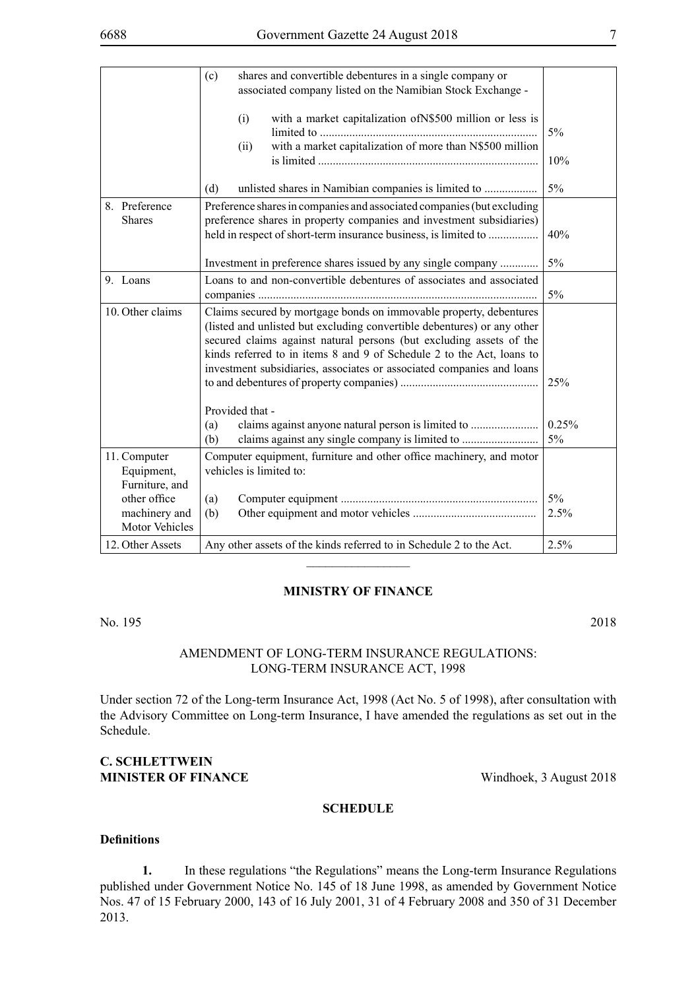|                                |                                        | shares and convertible debentures in a single company or<br>(c)<br>associated company listed on the Namibian Stock Exchange -                                                                                                                                                                                                                                          |             |
|--------------------------------|----------------------------------------|------------------------------------------------------------------------------------------------------------------------------------------------------------------------------------------------------------------------------------------------------------------------------------------------------------------------------------------------------------------------|-------------|
|                                |                                        | with a market capitalization of N\$500 million or less is<br>(i)<br>with a market capitalization of more than N\$500 million<br>(ii)                                                                                                                                                                                                                                   | 5%          |
|                                |                                        |                                                                                                                                                                                                                                                                                                                                                                        | 10%         |
|                                |                                        | (d)                                                                                                                                                                                                                                                                                                                                                                    | 5%          |
| 8. Preference<br><b>Shares</b> |                                        | Preference shares in companies and associated companies (but excluding<br>preference shares in property companies and investment subsidiaries)<br>held in respect of short-term insurance business, is limited to                                                                                                                                                      | 40%         |
|                                |                                        | Investment in preference shares issued by any single company                                                                                                                                                                                                                                                                                                           | 5%          |
| 9. Loans                       |                                        | Loans to and non-convertible debentures of associates and associated                                                                                                                                                                                                                                                                                                   | 5%          |
|                                | 10. Other claims                       | Claims secured by mortgage bonds on immovable property, debentures<br>(listed and unlisted but excluding convertible debentures) or any other<br>secured claims against natural persons (but excluding assets of the<br>kinds referred to in items 8 and 9 of Schedule 2 to the Act, loans to<br>investment subsidiaries, associates or associated companies and loans |             |
|                                |                                        |                                                                                                                                                                                                                                                                                                                                                                        | 25%         |
|                                |                                        | Provided that -                                                                                                                                                                                                                                                                                                                                                        |             |
|                                |                                        | (a)<br>claims against any single company is limited to<br>(b)                                                                                                                                                                                                                                                                                                          | 0.25%<br>5% |
| 11. Computer                   | Equipment,<br>Furniture, and           | Computer equipment, furniture and other office machinery, and motor<br>vehicles is limited to:                                                                                                                                                                                                                                                                         |             |
|                                | other office                           | (a)                                                                                                                                                                                                                                                                                                                                                                    | $5\%$       |
|                                | machinery and<br><b>Motor Vehicles</b> | (b)                                                                                                                                                                                                                                                                                                                                                                    | 2.5%        |
|                                | 12. Other Assets                       | Any other assets of the kinds referred to in Schedule 2 to the Act.                                                                                                                                                                                                                                                                                                    | 2.5%        |

#### **MINISTRY OF FINANCE**

 $\frac{1}{2}$ 

No. 195 2018

## AMENDMENT OF LONG-TERM INSURANCE REGULATIONS: LONG-TERM INSURANCE ACT, 1998

Under section 72 of the Long-term Insurance Act, 1998 (Act No. 5 of 1998), after consultation with the Advisory Committee on Long-term Insurance, I have amended the regulations as set out in the Schedule.

## **C. SCHLETTWEIN MINISTER OF FINANCE** Windhoek, 3 August 2018

#### **SCHEDULE**

#### **Definitions**

**1.** In these regulations "the Regulations" means the Long-term Insurance Regulations published under Government Notice No. 145 of 18 June 1998, as amended by Government Notice Nos. 47 of 15 February 2000, 143 of 16 July 2001, 31 of 4 February 2008 and 350 of 31 December 2013.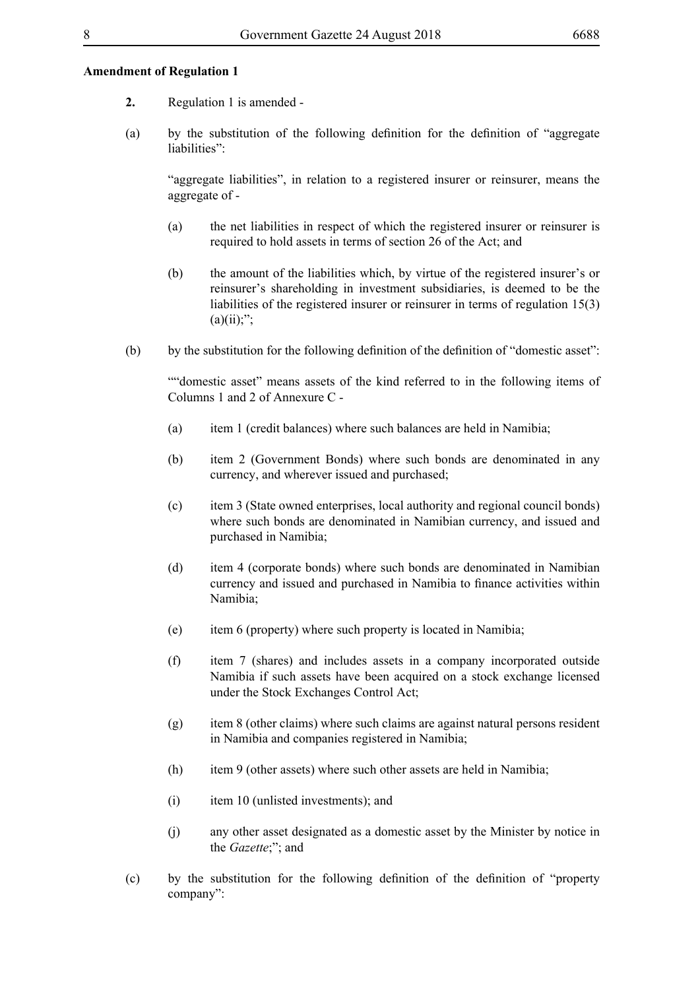### **Amendment of Regulation 1**

- **2.** Regulation 1 is amended -
- (a) by the substitution of the following definition for the definition of "aggregate liabilities":

"aggregate liabilities", in relation to a registered insurer or reinsurer, means the aggregate of -

- (a) the net liabilities in respect of which the registered insurer or reinsurer is required to hold assets in terms of section 26 of the Act; and
- (b) the amount of the liabilities which, by virtue of the registered insurer's or reinsurer's shareholding in investment subsidiaries, is deemed to be the liabilities of the registered insurer or reinsurer in terms of regulation 15(3)  $(a)(ii)$ ;";
- (b) by the substitution for the following definition of the definition of "domestic asset":

""domestic asset" means assets of the kind referred to in the following items of Columns 1 and 2 of Annexure C -

- (a) item 1 (credit balances) where such balances are held in Namibia;
- (b) item 2 (Government Bonds) where such bonds are denominated in any currency, and wherever issued and purchased;
- (c) item 3 (State owned enterprises, local authority and regional council bonds) where such bonds are denominated in Namibian currency, and issued and purchased in Namibia;
- (d) item 4 (corporate bonds) where such bonds are denominated in Namibian currency and issued and purchased in Namibia to finance activities within Namibia;
- (e) item 6 (property) where such property is located in Namibia;
- (f) item 7 (shares) and includes assets in a company incorporated outside Namibia if such assets have been acquired on a stock exchange licensed under the Stock Exchanges Control Act;
- (g) item 8 (other claims) where such claims are against natural persons resident in Namibia and companies registered in Namibia;
- (h) item 9 (other assets) where such other assets are held in Namibia;
- (i) item 10 (unlisted investments); and
- (j) any other asset designated as a domestic asset by the Minister by notice in the *Gazette*;"; and
- (c) by the substitution for the following definition of the definition of "property company":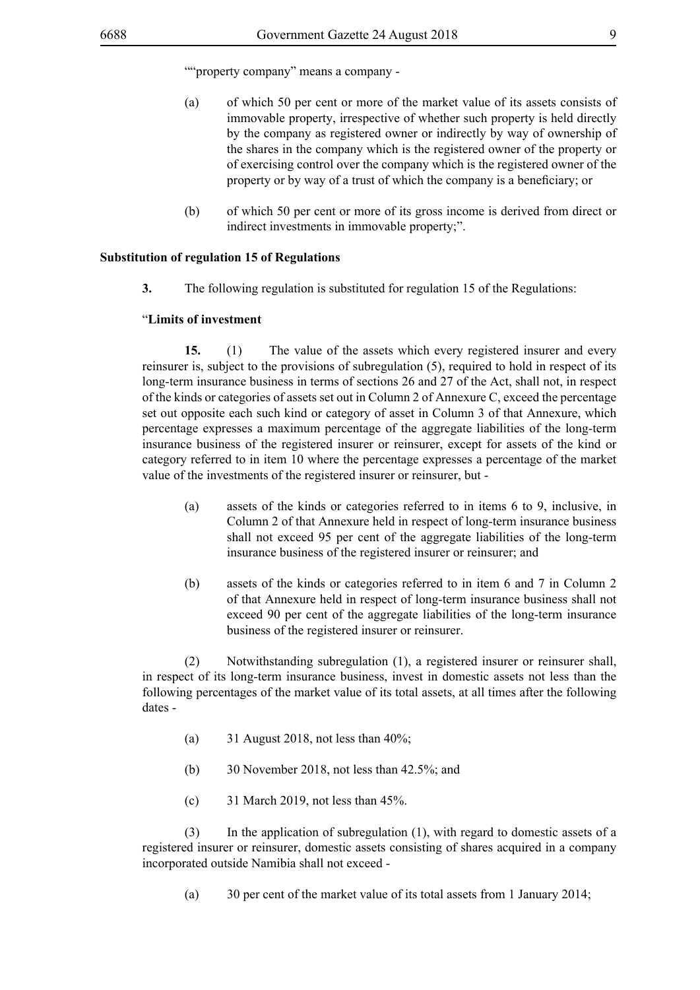""property company" means a company -

- (a) of which 50 per cent or more of the market value of its assets consists of immovable property, irrespective of whether such property is held directly by the company as registered owner or indirectly by way of ownership of the shares in the company which is the registered owner of the property or of exercising control over the company which is the registered owner of the property or by way of a trust of which the company is a beneficiary; or
- (b) of which 50 per cent or more of its gross income is derived from direct or indirect investments in immovable property;".

#### **Substitution of regulation 15 of Regulations**

**3.** The following regulation is substituted for regulation 15 of the Regulations:

#### "**Limits of investment**

**15.** (1) The value of the assets which every registered insurer and every reinsurer is, subject to the provisions of subregulation (5), required to hold in respect of its long-term insurance business in terms of sections 26 and 27 of the Act, shall not, in respect of the kinds or categories of assets set out in Column 2 of Annexure C, exceed the percentage set out opposite each such kind or category of asset in Column 3 of that Annexure, which percentage expresses a maximum percentage of the aggregate liabilities of the long-term insurance business of the registered insurer or reinsurer, except for assets of the kind or category referred to in item 10 where the percentage expresses a percentage of the market value of the investments of the registered insurer or reinsurer, but -

- (a) assets of the kinds or categories referred to in items 6 to 9, inclusive, in Column 2 of that Annexure held in respect of long-term insurance business shall not exceed 95 per cent of the aggregate liabilities of the long-term insurance business of the registered insurer or reinsurer; and
- (b) assets of the kinds or categories referred to in item 6 and 7 in Column 2 of that Annexure held in respect of long-term insurance business shall not exceed 90 per cent of the aggregate liabilities of the long-term insurance business of the registered insurer or reinsurer.

(2) Notwithstanding subregulation (1), a registered insurer or reinsurer shall, in respect of its long-term insurance business, invest in domestic assets not less than the following percentages of the market value of its total assets, at all times after the following dates -

- (a)  $31$  August 2018, not less than 40%;
- (b) 30 November 2018, not less than 42.5%; and
- (c)  $31$  March 2019, not less than 45%.

(3) In the application of subregulation (1), with regard to domestic assets of a registered insurer or reinsurer, domestic assets consisting of shares acquired in a company incorporated outside Namibia shall not exceed -

(a) 30 per cent of the market value of its total assets from 1 January 2014;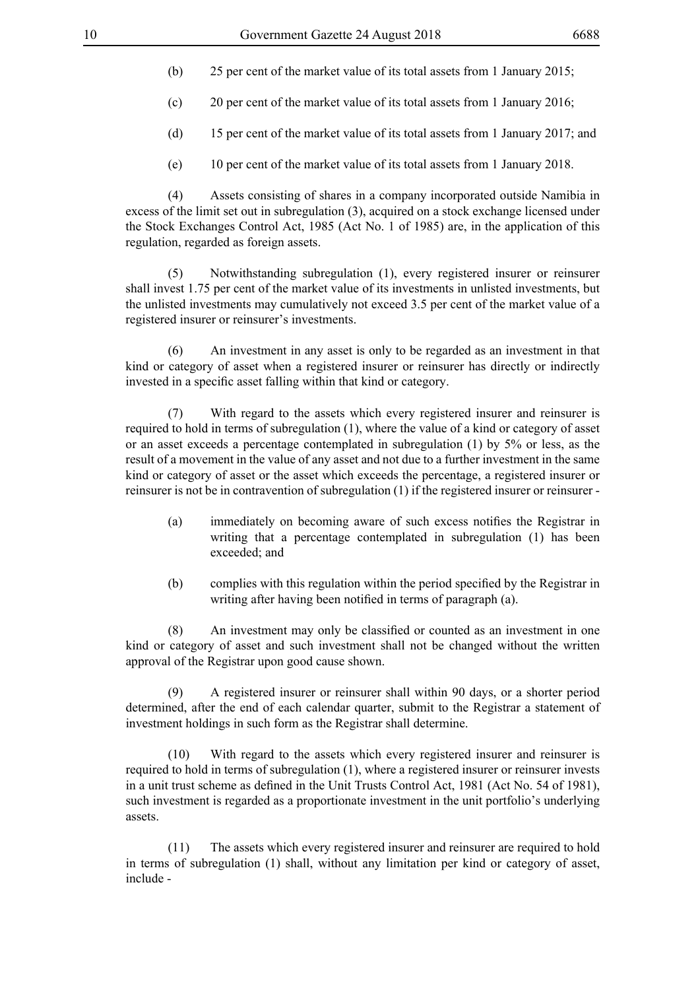- (b) 25 per cent of the market value of its total assets from 1 January 2015;
- (c) 20 per cent of the market value of its total assets from 1 January 2016;
- (d) 15 per cent of the market value of its total assets from 1 January 2017; and
- (e) 10 per cent of the market value of its total assets from 1 January 2018.

(4) Assets consisting of shares in a company incorporated outside Namibia in excess of the limit set out in subregulation (3), acquired on a stock exchange licensed under the Stock Exchanges Control Act, 1985 (Act No. 1 of 1985) are, in the application of this regulation, regarded as foreign assets.

(5) Notwithstanding subregulation (1), every registered insurer or reinsurer shall invest 1.75 per cent of the market value of its investments in unlisted investments, but the unlisted investments may cumulatively not exceed 3.5 per cent of the market value of a registered insurer or reinsurer's investments.

(6) An investment in any asset is only to be regarded as an investment in that kind or category of asset when a registered insurer or reinsurer has directly or indirectly invested in a specific asset falling within that kind or category.

(7) With regard to the assets which every registered insurer and reinsurer is required to hold in terms of subregulation (1), where the value of a kind or category of asset or an asset exceeds a percentage contemplated in subregulation (1) by 5% or less, as the result of a movement in the value of any asset and not due to a further investment in the same kind or category of asset or the asset which exceeds the percentage, a registered insurer or reinsurer is not be in contravention of subregulation (1) if the registered insurer or reinsurer -

- (a) immediately on becoming aware of such excess notifies the Registrar in writing that a percentage contemplated in subregulation (1) has been exceeded; and
- (b) complies with this regulation within the period specified by the Registrar in writing after having been notified in terms of paragraph (a).

 (8) An investment may only be classified or counted as an investment in one kind or category of asset and such investment shall not be changed without the written approval of the Registrar upon good cause shown.

(9) A registered insurer or reinsurer shall within 90 days, or a shorter period determined, after the end of each calendar quarter, submit to the Registrar a statement of investment holdings in such form as the Registrar shall determine.

(10) With regard to the assets which every registered insurer and reinsurer is required to hold in terms of subregulation (1), where a registered insurer or reinsurer invests in a unit trust scheme as defined in the Unit Trusts Control Act, 1981 (Act No. 54 of 1981), such investment is regarded as a proportionate investment in the unit portfolio's underlying assets.

(11) The assets which every registered insurer and reinsurer are required to hold in terms of subregulation (1) shall, without any limitation per kind or category of asset, include -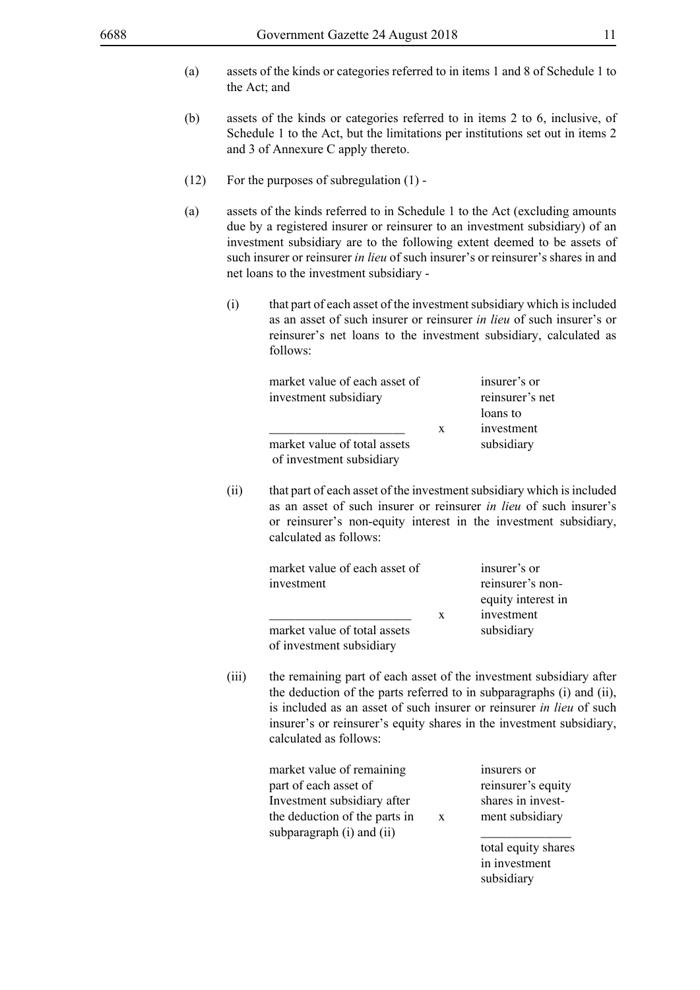- (a) assets of the kinds or categories referred to in items 1 and 8 of Schedule 1 to the Act; and
- (b) assets of the kinds or categories referred to in items 2 to 6, inclusive, of Schedule 1 to the Act, but the limitations per institutions set out in items 2 and 3 of Annexure C apply thereto.
- (12) For the purposes of subregulation (1) -
- (a) assets of the kinds referred to in Schedule 1 to the Act (excluding amounts due by a registered insurer or reinsurer to an investment subsidiary) of an investment subsidiary are to the following extent deemed to be assets of such insurer or reinsurer *in lieu* of such insurer's or reinsurer's shares in and net loans to the investment subsidiary -
	- (i) that part of each asset of the investment subsidiary which is included as an asset of such insurer or reinsurer *in lieu* of such insurer's or reinsurer's net loans to the investment subsidiary, calculated as follows:

| market value of each asset of                            |   | insurer's or    |
|----------------------------------------------------------|---|-----------------|
| investment subsidiary                                    |   | reinsurer's net |
|                                                          |   | loans to        |
|                                                          | X | investment      |
| market value of total assets<br>of investment subsidiary |   | subsidiary      |

(ii) that part of each asset of the investment subsidiary which is included as an asset of such insurer or reinsurer *in lieu* of such insurer's or reinsurer's non-equity interest in the investment subsidiary, calculated as follows:

| market value of each asset of                            |   | insurer's or       |
|----------------------------------------------------------|---|--------------------|
| investment                                               |   | reinsurer's non-   |
|                                                          |   | equity interest in |
|                                                          | X | investment         |
| market value of total assets<br>of investment subsidiary |   | subsidiary         |
|                                                          |   |                    |

(iii) the remaining part of each asset of the investment subsidiary after the deduction of the parts referred to in subparagraphs (i) and (ii), is included as an asset of such insurer or reinsurer *in lieu* of such insurer's or reinsurer's equity shares in the investment subsidiary, calculated as follows:

| market value of remaining     |   | insurers or         |
|-------------------------------|---|---------------------|
| part of each asset of         |   | reinsurer's equity  |
| Investment subsidiary after   |   | shares in invest-   |
| the deduction of the parts in | X | ment subsidiary     |
| subparagraph (i) and (ii)     |   |                     |
|                               |   | total equity shares |

in investment subsidiary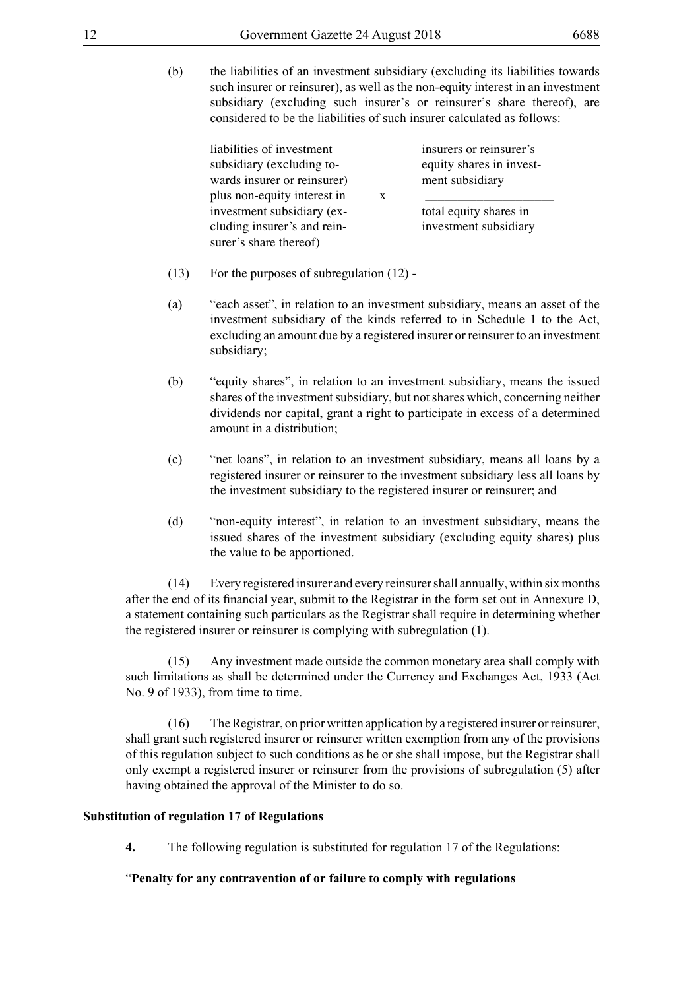(b) the liabilities of an investment subsidiary (excluding its liabilities towards such insurer or reinsurer), as well as the non-equity interest in an investment subsidiary (excluding such insurer's or reinsurer's share thereof), are considered to be the liabilities of such insurer calculated as follows:

liabilities of investment insurers or reinsurer's subsidiary (excluding to-<br>
equity shares in investwards insurer or reinsurer) ment subsidiary plus non-equity interest in x investment subsidiary (ex-<br>total equity shares in cluding insurer's and rein- investment subsidiary surer's share thereof)

- (13) For the purposes of subregulation (12) -
- (a) "each asset", in relation to an investment subsidiary, means an asset of the investment subsidiary of the kinds referred to in Schedule 1 to the Act, excluding an amount due by a registered insurer or reinsurer to an investment subsidiary;
- (b) "equity shares", in relation to an investment subsidiary, means the issued shares of the investment subsidiary, but not shares which, concerning neither dividends nor capital, grant a right to participate in excess of a determined amount in a distribution;
- (c) "net loans", in relation to an investment subsidiary, means all loans by a registered insurer or reinsurer to the investment subsidiary less all loans by the investment subsidiary to the registered insurer or reinsurer; and
- (d) "non-equity interest", in relation to an investment subsidiary, means the issued shares of the investment subsidiary (excluding equity shares) plus the value to be apportioned.

(14) Every registered insurer and every reinsurer shall annually, within six months after the end of its financial year, submit to the Registrar in the form set out in Annexure D, a statement containing such particulars as the Registrar shall require in determining whether the registered insurer or reinsurer is complying with subregulation (1).

(15) Any investment made outside the common monetary area shall comply with such limitations as shall be determined under the Currency and Exchanges Act, 1933 (Act No. 9 of 1933), from time to time.

(16) The Registrar, on prior written application by a registered insurer or reinsurer, shall grant such registered insurer or reinsurer written exemption from any of the provisions of this regulation subject to such conditions as he or she shall impose, but the Registrar shall only exempt a registered insurer or reinsurer from the provisions of subregulation (5) after having obtained the approval of the Minister to do so.

## **Substitution of regulation 17 of Regulations**

**4.** The following regulation is substituted for regulation 17 of the Regulations:

## "**Penalty for any contravention of or failure to comply with regulations**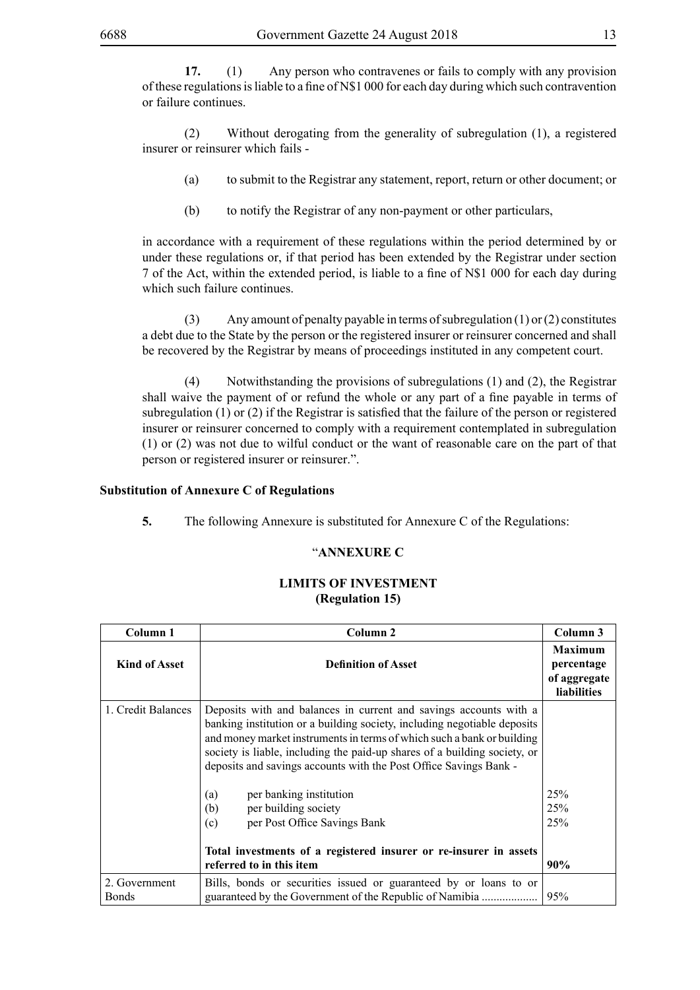**17.** (1) Any person who contravenes or fails to comply with any provision of these regulations is liable to a fine of  $N$1 000$  for each day during which such contravention or failure continues.

(2) Without derogating from the generality of subregulation (1), a registered insurer or reinsurer which fails -

- (a) to submit to the Registrar any statement, report, return or other document; or
- (b) to notify the Registrar of any non-payment or other particulars,

in accordance with a requirement of these regulations within the period determined by or under these regulations or, if that period has been extended by the Registrar under section 7 of the Act, within the extended period, is liable to a fine of N\$1 000 for each day during which such failure continues.

(3) Any amount of penalty payable in terms of subregulation (1) or (2) constitutes a debt due to the State by the person or the registered insurer or reinsurer concerned and shall be recovered by the Registrar by means of proceedings instituted in any competent court.

(4) Notwithstanding the provisions of subregulations (1) and (2), the Registrar shall waive the payment of or refund the whole or any part of a fine payable in terms of subregulation (1) or (2) if the Registrar is satisfied that the failure of the person or registered insurer or reinsurer concerned to comply with a requirement contemplated in subregulation (1) or (2) was not due to wilful conduct or the want of reasonable care on the part of that person or registered insurer or reinsurer.".

### **Substitution of Annexure C of Regulations**

**5.** The following Annexure is substituted for Annexure C of the Regulations:

#### "**ANNEXURE C**

#### **LIMITS OF INVESTMENT (Regulation 15)**

| Column 1                      | Column 2                                                                                                                                                                                                                                                                                                                                                                  | Column 3                                                           |
|-------------------------------|---------------------------------------------------------------------------------------------------------------------------------------------------------------------------------------------------------------------------------------------------------------------------------------------------------------------------------------------------------------------------|--------------------------------------------------------------------|
| <b>Kind of Asset</b>          | <b>Definition of Asset</b>                                                                                                                                                                                                                                                                                                                                                | <b>Maximum</b><br>percentage<br>of aggregate<br><b>liabilities</b> |
| 1. Credit Balances            | Deposits with and balances in current and savings accounts with a<br>banking institution or a building society, including negotiable deposits<br>and money market instruments in terms of which such a bank or building<br>society is liable, including the paid-up shares of a building society, or<br>deposits and savings accounts with the Post Office Savings Bank - |                                                                    |
|                               | per banking institution<br>(a)<br>per building society<br>(b)                                                                                                                                                                                                                                                                                                             | 25%<br>25%                                                         |
|                               | per Post Office Savings Bank<br>(c)                                                                                                                                                                                                                                                                                                                                       | 25%                                                                |
|                               | Total investments of a registered insurer or re-insurer in assets<br>referred to in this item                                                                                                                                                                                                                                                                             | 90%                                                                |
| 2. Government<br><b>Bonds</b> | Bills, bonds or securities issued or guaranteed by or loans to or<br>guaranteed by the Government of the Republic of Namibia                                                                                                                                                                                                                                              | 95%                                                                |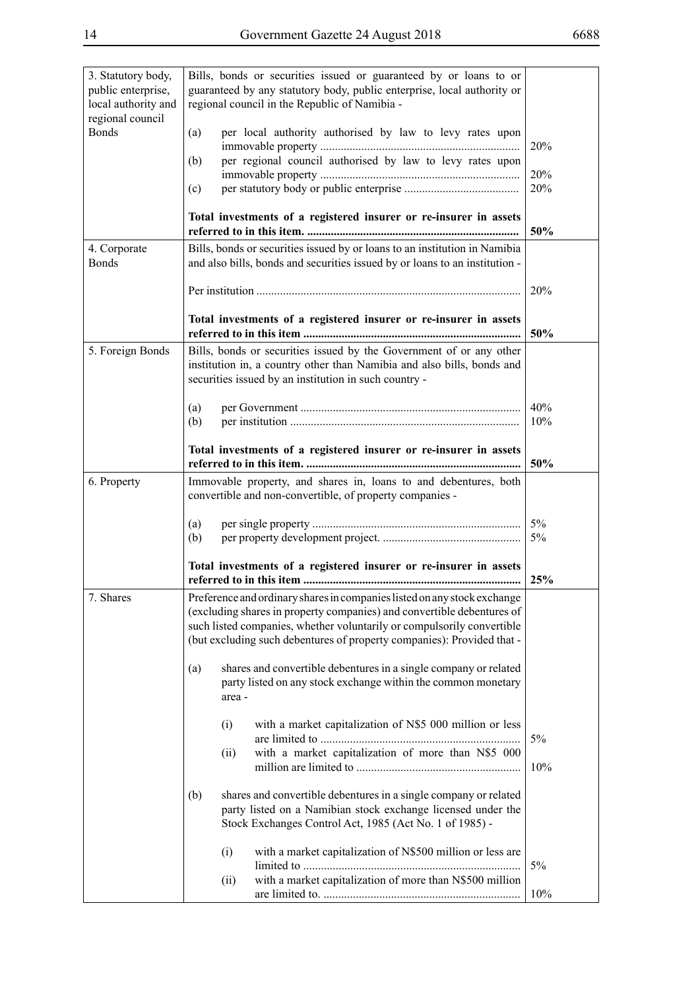| 3. Statutory body,<br>public enterprise,<br>local authority and<br>regional council | Bills, bonds or securities issued or guaranteed by or loans to or<br>guaranteed by any statutory body, public enterprise, local authority or<br>regional council in the Republic of Namibia -                                                                                                          |            |
|-------------------------------------------------------------------------------------|--------------------------------------------------------------------------------------------------------------------------------------------------------------------------------------------------------------------------------------------------------------------------------------------------------|------------|
| <b>Bonds</b>                                                                        | per local authority authorised by law to levy rates upon<br>(a)                                                                                                                                                                                                                                        | 20%        |
|                                                                                     | per regional council authorised by law to levy rates upon<br>(b)                                                                                                                                                                                                                                       |            |
|                                                                                     | (c)                                                                                                                                                                                                                                                                                                    | 20%<br>20% |
|                                                                                     | Total investments of a registered insurer or re-insurer in assets                                                                                                                                                                                                                                      | 50%        |
| 4. Corporate                                                                        | Bills, bonds or securities issued by or loans to an institution in Namibia                                                                                                                                                                                                                             |            |
| <b>Bonds</b>                                                                        | and also bills, bonds and securities issued by or loans to an institution -                                                                                                                                                                                                                            |            |
|                                                                                     |                                                                                                                                                                                                                                                                                                        | 20%        |
|                                                                                     | Total investments of a registered insurer or re-insurer in assets                                                                                                                                                                                                                                      | 50%        |
| 5. Foreign Bonds                                                                    | Bills, bonds or securities issued by the Government of or any other<br>institution in, a country other than Namibia and also bills, bonds and<br>securities issued by an institution in such country -                                                                                                 |            |
|                                                                                     | (a)                                                                                                                                                                                                                                                                                                    | 40%        |
|                                                                                     | (b)                                                                                                                                                                                                                                                                                                    | 10%        |
|                                                                                     | Total investments of a registered insurer or re-insurer in assets                                                                                                                                                                                                                                      | 50%        |
| 6. Property                                                                         | Immovable property, and shares in, loans to and debentures, both<br>convertible and non-convertible, of property companies -                                                                                                                                                                           |            |
|                                                                                     | (a)<br>(b)                                                                                                                                                                                                                                                                                             | 5%<br>5%   |
|                                                                                     | Total investments of a registered insurer or re-insurer in assets                                                                                                                                                                                                                                      | 25%        |
| 7. Shares                                                                           | Preference and ordinary shares in companies listed on any stock exchange<br>(excluding shares in property companies) and convertible debentures of<br>such listed companies, whether voluntarily or compulsorily convertible<br>(but excluding such debentures of property companies): Provided that - |            |
|                                                                                     | shares and convertible debentures in a single company or related<br>(a)<br>party listed on any stock exchange within the common monetary<br>area -                                                                                                                                                     |            |
|                                                                                     | with a market capitalization of N\$5 000 million or less<br>(i)                                                                                                                                                                                                                                        |            |
|                                                                                     | with a market capitalization of more than N\$5 000<br>(ii)                                                                                                                                                                                                                                             | 5%         |
|                                                                                     |                                                                                                                                                                                                                                                                                                        | 10%        |
|                                                                                     | (b)<br>shares and convertible debentures in a single company or related                                                                                                                                                                                                                                |            |
|                                                                                     | party listed on a Namibian stock exchange licensed under the<br>Stock Exchanges Control Act, 1985 (Act No. 1 of 1985) -                                                                                                                                                                                |            |
|                                                                                     | with a market capitalization of N\$500 million or less are<br>(i)                                                                                                                                                                                                                                      | 5%         |
|                                                                                     | with a market capitalization of more than N\$500 million<br>(ii)                                                                                                                                                                                                                                       | 10%        |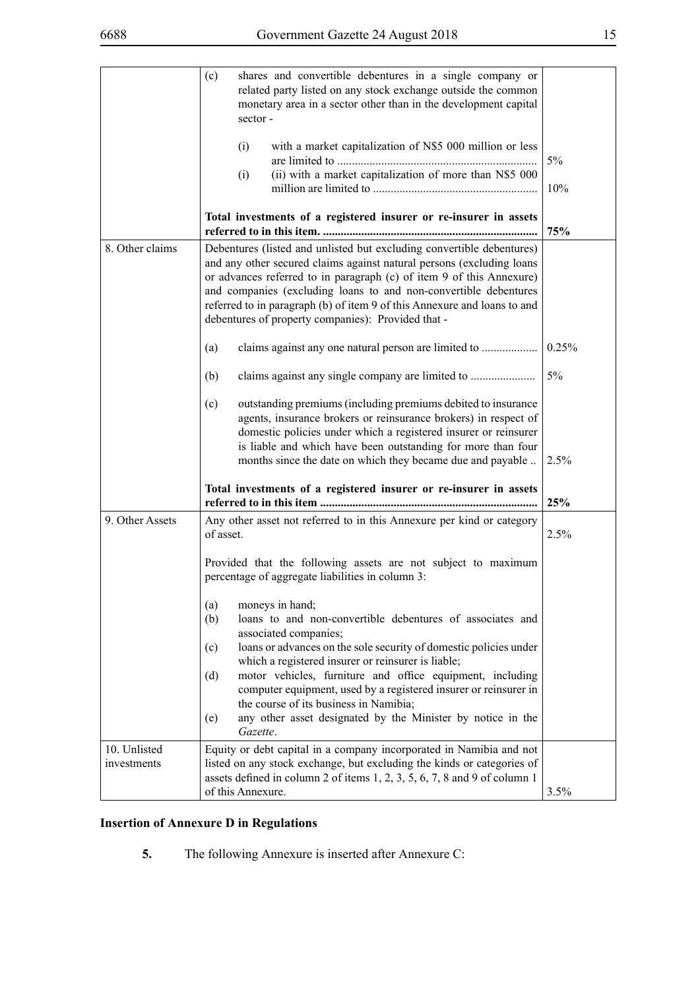|                             | shares and convertible debentures in a single company or<br>(c)<br>related party listed on any stock exchange outside the common<br>monetary area in a sector other than in the development capital<br>sector-                                                                                                                                                                                                                                                                                                            |              |
|-----------------------------|---------------------------------------------------------------------------------------------------------------------------------------------------------------------------------------------------------------------------------------------------------------------------------------------------------------------------------------------------------------------------------------------------------------------------------------------------------------------------------------------------------------------------|--------------|
|                             | with a market capitalization of N\$5 000 million or less<br>(i)<br>(ii) with a market capitalization of more than N\$5 000<br>(i)                                                                                                                                                                                                                                                                                                                                                                                         | $5\%$<br>10% |
|                             | Total investments of a registered insurer or re-insurer in assets                                                                                                                                                                                                                                                                                                                                                                                                                                                         | 75%          |
| 8. Other claims             | Debentures (listed and unlisted but excluding convertible debentures)<br>and any other secured claims against natural persons (excluding loans<br>or advances referred to in paragraph (c) of item 9 of this Annexure)<br>and companies (excluding loans to and non-convertible debentures<br>referred to in paragraph (b) of item 9 of this Annexure and loans to and<br>debentures of property companies): Provided that -                                                                                              |              |
|                             | (a)                                                                                                                                                                                                                                                                                                                                                                                                                                                                                                                       | 0.25%        |
|                             | (b)                                                                                                                                                                                                                                                                                                                                                                                                                                                                                                                       | 5%           |
|                             | outstanding premiums (including premiums debited to insurance<br>(c)<br>agents, insurance brokers or reinsurance brokers) in respect of<br>domestic policies under which a registered insurer or reinsurer<br>is liable and which have been outstanding for more than four<br>months since the date on which they became due and payable                                                                                                                                                                                  | 2.5%         |
|                             | Total investments of a registered insurer or re-insurer in assets                                                                                                                                                                                                                                                                                                                                                                                                                                                         | 25%          |
| 9. Other Assets             | Any other asset not referred to in this Annexure per kind or category<br>of asset.                                                                                                                                                                                                                                                                                                                                                                                                                                        | 2.5%         |
|                             | Provided that the following assets are not subject to maximum<br>percentage of aggregate liabilities in column 3:                                                                                                                                                                                                                                                                                                                                                                                                         |              |
|                             | moneys in hand;<br>(a)<br>loans to and non-convertible debentures of associates and<br>(b)<br>associated companies;<br>loans or advances on the sole security of domestic policies under<br>(c)<br>which a registered insurer or reinsurer is liable;<br>motor vehicles, furniture and office equipment, including<br>(d)<br>computer equipment, used by a registered insurer or reinsurer in<br>the course of its business in Namibia;<br>any other asset designated by the Minister by notice in the<br>(e)<br>Gazette. |              |
| 10. Unlisted<br>investments | Equity or debt capital in a company incorporated in Namibia and not<br>listed on any stock exchange, but excluding the kinds or categories of<br>assets defined in column 2 of items 1, 2, 3, 5, 6, 7, 8 and 9 of column 1<br>of this Annexure.                                                                                                                                                                                                                                                                           | 3.5%         |

## **Insertion of Annexure D in Regulations**

**5.** The following Annexure is inserted after Annexure C: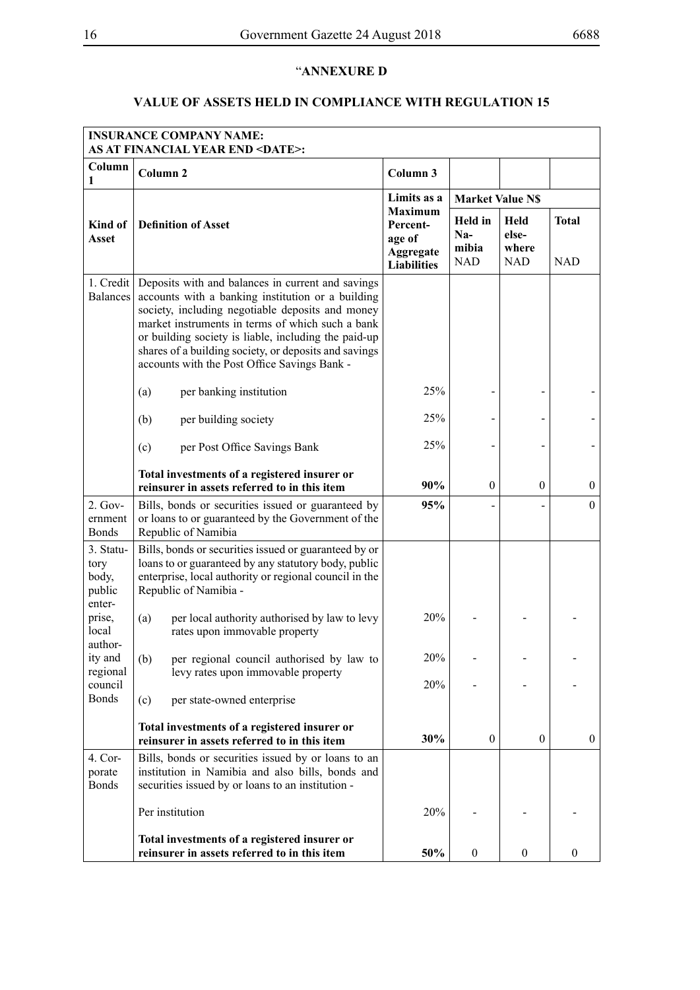# "**ANNEXURE D**

## **VALUE OF ASSETS HELD IN COMPLIANCE WITH REGULATION 15**

|                                                | <b>INSURANCE COMPANY NAME:</b><br><b>AS AT FINANCIAL YEAR END <date>:</date></b>                                                                                                                                                                                                                                                                                                |                                                                         |                                                |                                      |                            |
|------------------------------------------------|---------------------------------------------------------------------------------------------------------------------------------------------------------------------------------------------------------------------------------------------------------------------------------------------------------------------------------------------------------------------------------|-------------------------------------------------------------------------|------------------------------------------------|--------------------------------------|----------------------------|
| Column<br>1                                    | Column <sub>2</sub>                                                                                                                                                                                                                                                                                                                                                             | Column 3                                                                |                                                |                                      |                            |
|                                                |                                                                                                                                                                                                                                                                                                                                                                                 | Limits as a                                                             | <b>Market Value N\$</b>                        |                                      |                            |
| Kind of<br><b>Asset</b>                        | <b>Definition of Asset</b>                                                                                                                                                                                                                                                                                                                                                      | <b>Maximum</b><br>Percent-<br>age of<br>Aggregate<br><b>Liabilities</b> | <b>Held</b> in<br>$Na-$<br>mibia<br><b>NAD</b> | Held<br>else-<br>where<br><b>NAD</b> | <b>Total</b><br><b>NAD</b> |
| $1. Credit \vert$<br><b>Balances</b>           | Deposits with and balances in current and savings<br>accounts with a banking institution or a building<br>society, including negotiable deposits and money<br>market instruments in terms of which such a bank<br>or building society is liable, including the paid-up<br>shares of a building society, or deposits and savings<br>accounts with the Post Office Savings Bank - |                                                                         |                                                |                                      |                            |
|                                                | per banking institution<br>(a)                                                                                                                                                                                                                                                                                                                                                  | 25%                                                                     |                                                |                                      |                            |
|                                                | (b)<br>per building society                                                                                                                                                                                                                                                                                                                                                     | 25%                                                                     |                                                |                                      |                            |
|                                                | (c)<br>per Post Office Savings Bank                                                                                                                                                                                                                                                                                                                                             | 25%                                                                     |                                                |                                      |                            |
|                                                | Total investments of a registered insurer or<br>reinsurer in assets referred to in this item                                                                                                                                                                                                                                                                                    | 90%                                                                     | $\mathbf{0}$                                   | $\boldsymbol{0}$                     | $\boldsymbol{0}$           |
| $2. Gov-$<br>ernment<br><b>Bonds</b>           | Bills, bonds or securities issued or guaranteed by<br>or loans to or guaranteed by the Government of the<br>Republic of Namibia                                                                                                                                                                                                                                                 | 95%                                                                     |                                                |                                      | $\overline{0}$             |
| 3. Statu-<br>tory<br>body,<br>public<br>enter- | Bills, bonds or securities issued or guaranteed by or<br>loans to or guaranteed by any statutory body, public<br>enterprise, local authority or regional council in the<br>Republic of Namibia -                                                                                                                                                                                |                                                                         |                                                |                                      |                            |
| prise,<br>local<br>author-                     | (a)<br>per local authority authorised by law to levy<br>rates upon immovable property                                                                                                                                                                                                                                                                                           | 20%                                                                     |                                                |                                      |                            |
| ity and<br>regional                            | (b)<br>per regional council authorised by law to<br>levy rates upon immovable property                                                                                                                                                                                                                                                                                          | 20%                                                                     |                                                |                                      |                            |
| council<br><b>Bonds</b>                        | (c)<br>per state-owned enterprise                                                                                                                                                                                                                                                                                                                                               | 20%                                                                     |                                                |                                      |                            |
|                                                | Total investments of a registered insurer or<br>reinsurer in assets referred to in this item                                                                                                                                                                                                                                                                                    | 30%                                                                     | $\mathbf{0}$                                   | $\mathbf{0}$                         | $\boldsymbol{0}$           |
| 4. Cor-<br>porate<br><b>Bonds</b>              | Bills, bonds or securities issued by or loans to an<br>institution in Namibia and also bills, bonds and<br>securities issued by or loans to an institution -                                                                                                                                                                                                                    |                                                                         |                                                |                                      |                            |
|                                                | Per institution                                                                                                                                                                                                                                                                                                                                                                 | 20%                                                                     |                                                |                                      |                            |
|                                                | Total investments of a registered insurer or<br>reinsurer in assets referred to in this item                                                                                                                                                                                                                                                                                    | 50%                                                                     | $\boldsymbol{0}$                               | $\boldsymbol{0}$                     | $\boldsymbol{0}$           |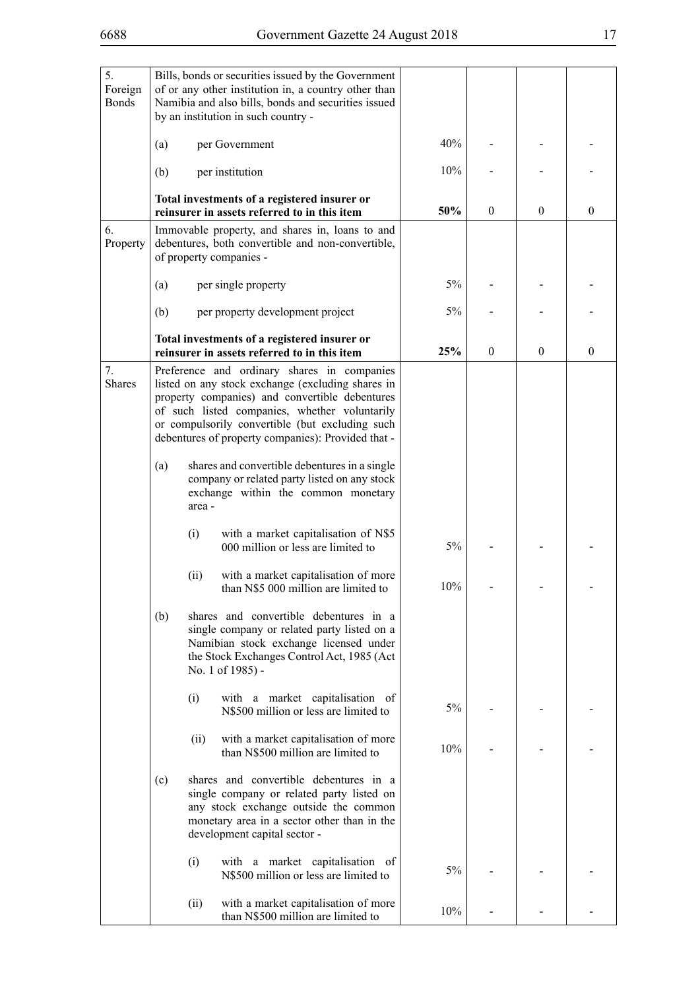| 5.<br>Foreign<br><b>Bonds</b> |      | Bills, bonds or securities issued by the Government<br>of or any other institution in, a country other than<br>Namibia and also bills, bonds and securities issued<br>by an institution in such country -                                                                                                    |     |                  |              |          |
|-------------------------------|------|--------------------------------------------------------------------------------------------------------------------------------------------------------------------------------------------------------------------------------------------------------------------------------------------------------------|-----|------------------|--------------|----------|
|                               | (a)  | per Government                                                                                                                                                                                                                                                                                               | 40% |                  |              |          |
|                               | (b)  | per institution                                                                                                                                                                                                                                                                                              | 10% |                  |              |          |
|                               |      | Total investments of a registered insurer or<br>reinsurer in assets referred to in this item                                                                                                                                                                                                                 | 50% | $\boldsymbol{0}$ | $\mathbf{0}$ | $\theta$ |
| 6.<br>Property                |      | Immovable property, and shares in, loans to and<br>debentures, both convertible and non-convertible,<br>of property companies -                                                                                                                                                                              |     |                  |              |          |
|                               | (a)  | per single property                                                                                                                                                                                                                                                                                          | 5%  |                  |              |          |
|                               | (b)  | per property development project                                                                                                                                                                                                                                                                             | 5%  |                  |              |          |
|                               |      | Total investments of a registered insurer or<br>reinsurer in assets referred to in this item                                                                                                                                                                                                                 | 25% | $\theta$         | $\mathbf{0}$ | $\theta$ |
| 7.<br><b>Shares</b>           |      | Preference and ordinary shares in companies<br>listed on any stock exchange (excluding shares in<br>property companies) and convertible debentures<br>of such listed companies, whether voluntarily<br>or compulsorily convertible (but excluding such<br>debentures of property companies): Provided that - |     |                  |              |          |
|                               | (a)  | shares and convertible debentures in a single<br>company or related party listed on any stock<br>exchange within the common monetary<br>area -                                                                                                                                                               |     |                  |              |          |
|                               | (i)  | with a market capitalisation of N\$5<br>000 million or less are limited to                                                                                                                                                                                                                                   | 5%  |                  |              |          |
|                               | (ii) | with a market capitalisation of more<br>than N\$5 000 million are limited to                                                                                                                                                                                                                                 | 10% |                  |              |          |
|                               | (b)  | shares and convertible debentures in a<br>single company or related party listed on a<br>Namibian stock exchange licensed under<br>the Stock Exchanges Control Act, 1985 (Act<br>No. 1 of 1985) -                                                                                                            |     |                  |              |          |
|                               | (i)  | with a market capitalisation of<br>N\$500 million or less are limited to                                                                                                                                                                                                                                     | 5%  |                  |              |          |
|                               | (ii) | with a market capitalisation of more<br>than N\$500 million are limited to                                                                                                                                                                                                                                   | 10% |                  |              |          |
|                               | (c)  | shares and convertible debentures in a<br>single company or related party listed on<br>any stock exchange outside the common<br>monetary area in a sector other than in the<br>development capital sector -                                                                                                  |     |                  |              |          |
|                               | (i)  | with a market capitalisation of<br>N\$500 million or less are limited to                                                                                                                                                                                                                                     | 5%  |                  |              |          |
|                               | (ii) | with a market capitalisation of more<br>than N\$500 million are limited to                                                                                                                                                                                                                                   | 10% |                  |              |          |